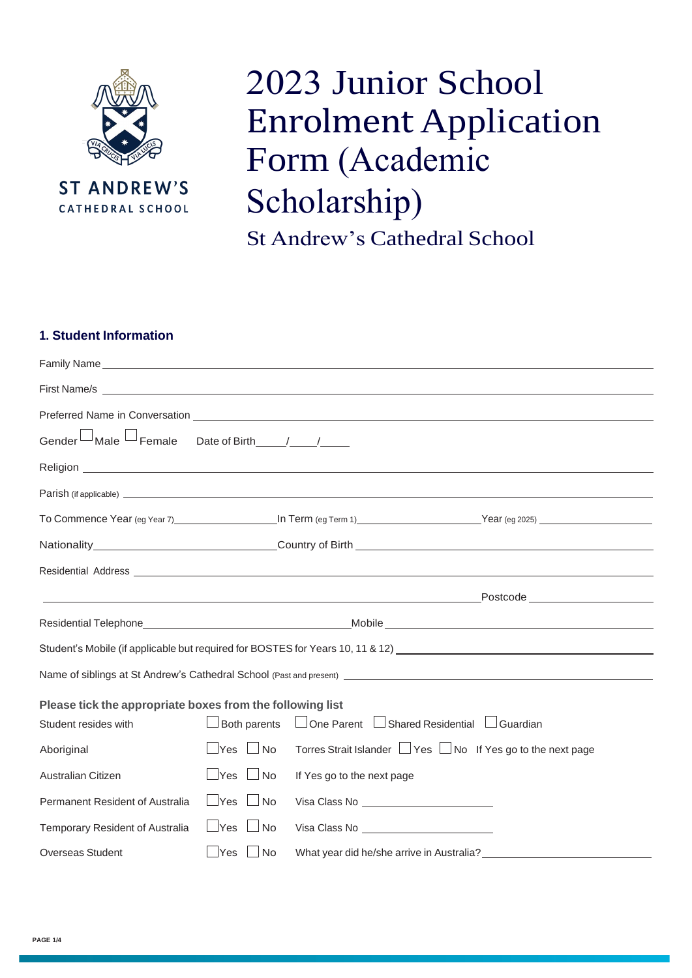

**ST ANDREW'S** CATHEDRAL SCHOOL

## 2023 Junior School Enrolment Application Form (Academic Scholarship)

St Andrew's Cathedral School

#### **1. Student Information**

| $^\perp$ Male $^\perp$<br>Gender <sup>L</sup>             | $\overline{\phantom{a}}$ Female Date of Birth $\overline{\phantom{a}}$ |                                                          |                                                                                                                                                                                                                                      |
|-----------------------------------------------------------|------------------------------------------------------------------------|----------------------------------------------------------|--------------------------------------------------------------------------------------------------------------------------------------------------------------------------------------------------------------------------------------|
|                                                           |                                                                        |                                                          |                                                                                                                                                                                                                                      |
|                                                           |                                                                        |                                                          |                                                                                                                                                                                                                                      |
|                                                           |                                                                        |                                                          |                                                                                                                                                                                                                                      |
|                                                           |                                                                        |                                                          |                                                                                                                                                                                                                                      |
|                                                           |                                                                        |                                                          | Residential Address <b>Contract Contract Contract Contract Contract Contract Contract Contract Contract Contract Contract Contract Contract Contract Contract Contract Contract Contract Contract Contract Contract Contract Con</b> |
|                                                           |                                                                        |                                                          |                                                                                                                                                                                                                                      |
|                                                           |                                                                        |                                                          |                                                                                                                                                                                                                                      |
|                                                           |                                                                        |                                                          | Student's Mobile (if applicable but required for BOSTES for Years 10, 11 & 12) [2010] Case of the Mobile (if applicable but required for BOSTES for Years 10, 11 & 12)                                                               |
|                                                           |                                                                        |                                                          |                                                                                                                                                                                                                                      |
| Please tick the appropriate boxes from the following list |                                                                        |                                                          |                                                                                                                                                                                                                                      |
| Student resides with                                      | $\Box$ Both parents                                                    |                                                          | □ One Parent □ Shared Residential □ Guardian                                                                                                                                                                                         |
| Aboriginal                                                | $\sqcup$ Yes<br>$\Box$ No                                              |                                                          | Torres Strait Islander □ Yes □ No If Yes go to the next page                                                                                                                                                                         |
| Australian Citizen                                        | $\sqcup$ Yes<br>$\Box$ No                                              | If Yes go to the next page                               |                                                                                                                                                                                                                                      |
| Permanent Resident of Australia                           | $\Box$ Yes<br>$\Box$ No                                                | Visa Class No __________________________                 |                                                                                                                                                                                                                                      |
| Temporary Resident of Australia                           | $\Box$ Yes<br>$\Box$ No                                                | Visa Class No <b>Contract Class No Contract Class No</b> |                                                                                                                                                                                                                                      |
| <b>Overseas Student</b>                                   | Yes<br>No                                                              | What year did he/she arrive in Australia?                |                                                                                                                                                                                                                                      |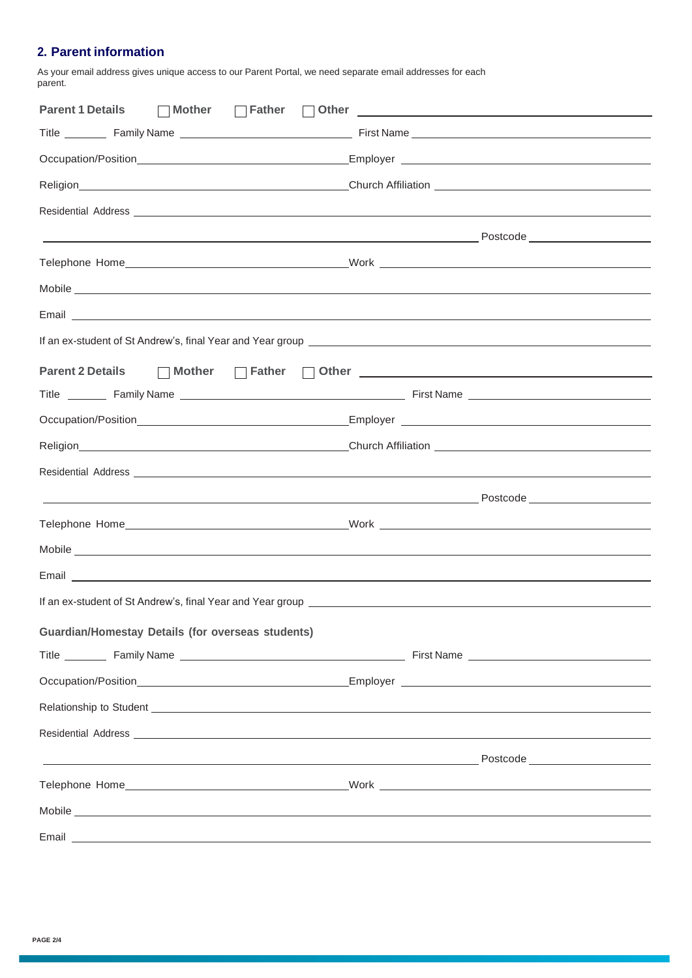#### **2. Parent information**

As your email address gives unique access to our Parent Portal, we need separate email addresses for each parent.

| Parent 1 Details □ Mother □ Father<br>$\mathbb{R}^n$                                                                                                                                                                                 |  |
|--------------------------------------------------------------------------------------------------------------------------------------------------------------------------------------------------------------------------------------|--|
|                                                                                                                                                                                                                                      |  |
|                                                                                                                                                                                                                                      |  |
|                                                                                                                                                                                                                                      |  |
| Residential Address <b>contract and a set of the contract of the contract of the contract of the contract of the contract of the contract of the contract of the contract of the contract of the contract of the contract of the</b> |  |
|                                                                                                                                                                                                                                      |  |
|                                                                                                                                                                                                                                      |  |
| Mobile experiments and the second state of the second state of the second state of the second state of the second state of the second state of the second state of the second state of the second state of the second state of       |  |
|                                                                                                                                                                                                                                      |  |
|                                                                                                                                                                                                                                      |  |
| Parent 2 Details □ Mother □ Father □ Other ■ Detail Barrent 2 Details                                                                                                                                                                |  |
|                                                                                                                                                                                                                                      |  |
|                                                                                                                                                                                                                                      |  |
|                                                                                                                                                                                                                                      |  |
| Residential Address entrance and a series of the series of the series of the series of the series of the series of the series of the series of the series of the series of the series of the series of the series of the serie       |  |
|                                                                                                                                                                                                                                      |  |
|                                                                                                                                                                                                                                      |  |
| Mobile experiments and the contract of the contract of the contract of the contract of the contract of the contract of the contract of the contract of the contract of the contract of the contract of the contract of the con       |  |
|                                                                                                                                                                                                                                      |  |
|                                                                                                                                                                                                                                      |  |
| <b>Guardian/Homestay Details (for overseas students)</b>                                                                                                                                                                             |  |
|                                                                                                                                                                                                                                      |  |
|                                                                                                                                                                                                                                      |  |
| Relationship to Student <b>container and a student of the students</b> and a students of the students of the students of                                                                                                             |  |
| Residential Address experiences and a series of the series of the series of the series of the series of the series of the series of the series of the series of the series of the series of the series of the series of the se       |  |
| <u> Postcode — Anno 1992, a constructor de la constructor de la constructor de la constructor de la constructor d</u>                                                                                                                |  |
|                                                                                                                                                                                                                                      |  |
| Mobile experiments and the second contract of the second contract of the second contract of the second contract of the second contract of the second contract of the second contract of the second contract of the second cont       |  |
|                                                                                                                                                                                                                                      |  |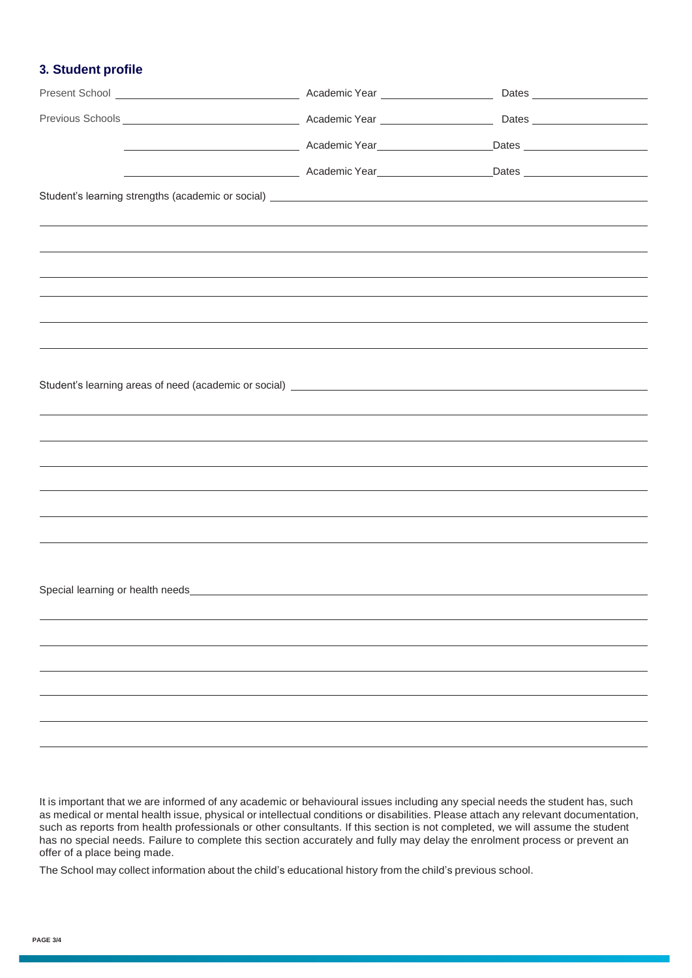#### **3. Student profile**

|  | enter a control de la característica de la característica de la característica de la característica de la característica de la característica de la característica de la característica de la característica de la característ |  |
|--|--------------------------------------------------------------------------------------------------------------------------------------------------------------------------------------------------------------------------------|--|
|  |                                                                                                                                                                                                                                |  |
|  |                                                                                                                                                                                                                                |  |
|  |                                                                                                                                                                                                                                |  |
|  |                                                                                                                                                                                                                                |  |
|  |                                                                                                                                                                                                                                |  |
|  |                                                                                                                                                                                                                                |  |
|  |                                                                                                                                                                                                                                |  |
|  |                                                                                                                                                                                                                                |  |
|  |                                                                                                                                                                                                                                |  |
|  |                                                                                                                                                                                                                                |  |
|  |                                                                                                                                                                                                                                |  |
|  |                                                                                                                                                                                                                                |  |
|  |                                                                                                                                                                                                                                |  |
|  |                                                                                                                                                                                                                                |  |
|  |                                                                                                                                                                                                                                |  |
|  |                                                                                                                                                                                                                                |  |
|  |                                                                                                                                                                                                                                |  |
|  |                                                                                                                                                                                                                                |  |
|  |                                                                                                                                                                                                                                |  |
|  |                                                                                                                                                                                                                                |  |
|  |                                                                                                                                                                                                                                |  |
|  |                                                                                                                                                                                                                                |  |
|  |                                                                                                                                                                                                                                |  |

It is important that we are informed of any academic or behavioural issues including any special needs the student has, such as medical or mental health issue, physical or intellectual conditions or disabilities. Please attach any relevant documentation, such as reports from health professionals or other consultants. If this section is not completed, we will assume the student has no special needs. Failure to complete this section accurately and fully may delay the enrolment process or prevent an offer of a place being made.

The School may collect information about the child's educational history from the child's previous school.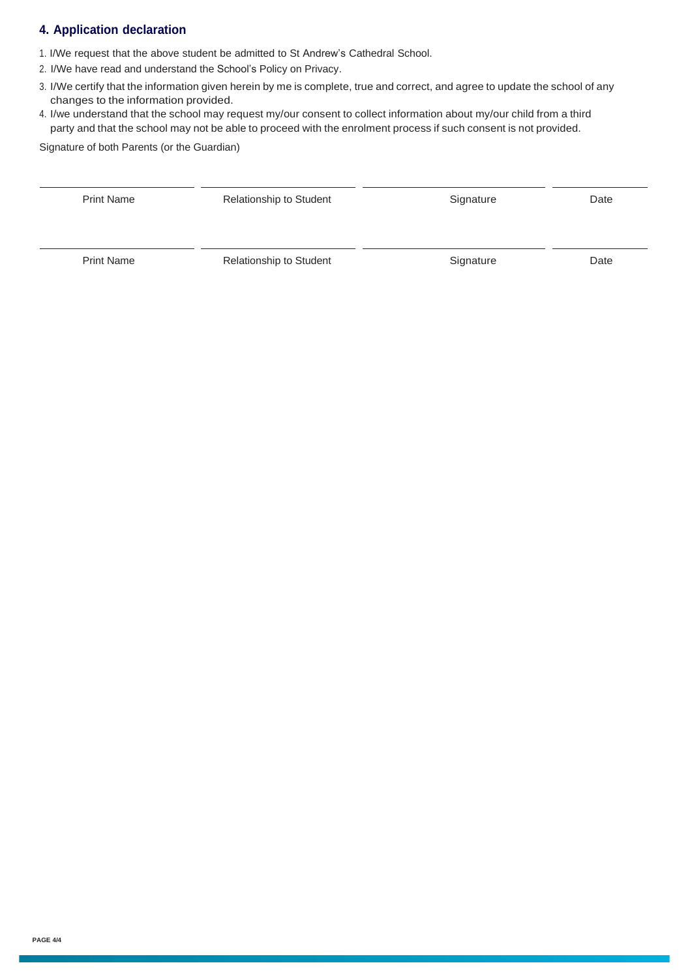#### **4. Application declaration**

- 1. I/We request that the above student be admitted to St Andrew's Cathedral School.
- 2. I/We have read and understand the School's Policy on Privacy.
- 3. I/We certify that the information given herein by me is complete, true and correct, and agree to update the school of any changes to the information provided.
- 4. I/we understand that the school may request my/our consent to collect information about my/our child from a third party and that the school may not be able to proceed with the enrolment process if such consent is not provided.

Signature of both Parents (or the Guardian)

| <b>Print Name</b> | <b>Relationship to Student</b> | Signature | Date |
|-------------------|--------------------------------|-----------|------|
| <b>Print Name</b> | <b>Relationship to Student</b> | Signature | Date |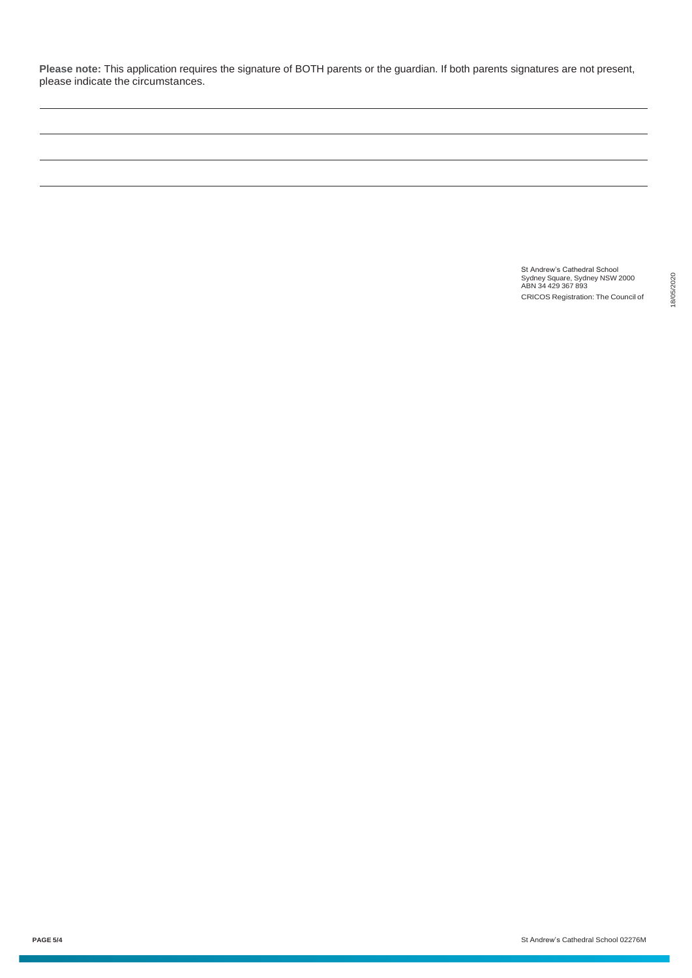**Please note:** This application requires the signature of BOTH parents or the guardian. If both parents signatures are not present, please indicate the circumstances.

> St Andrew's Cathedral School Sydney Square, Sydney NSW 2000 ABN 34 429 367 893 CRICOS Registration: The Council of